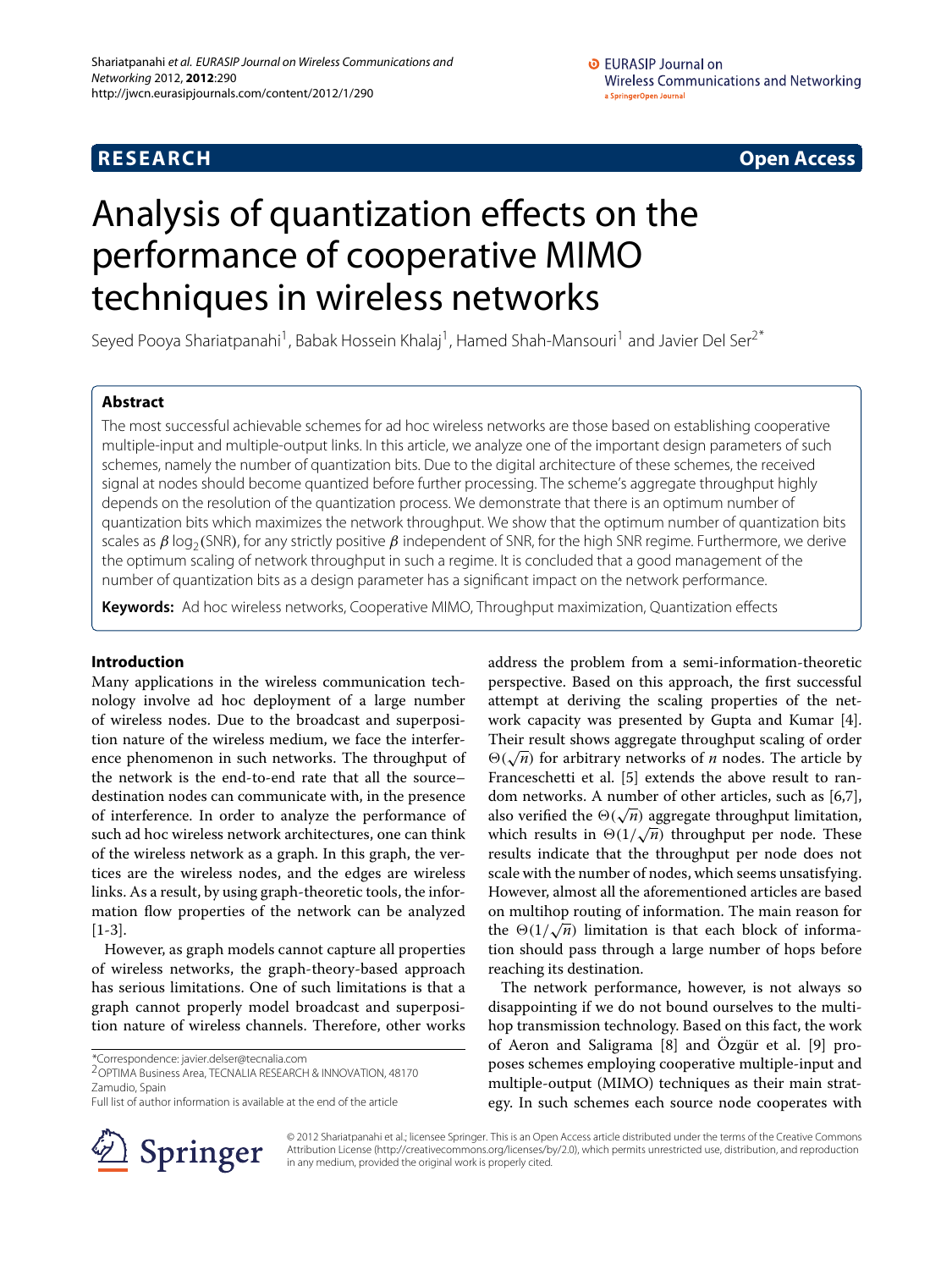# **RESEARCH Open Access**

# Analysis of quantization effects on the performance of cooperative MIMO techniques in wireless networks

Seyed Pooya Shariatpanahi<sup>1</sup>, Babak Hossein Khalaj<sup>1</sup>, Hamed Shah-Mansouri<sup>1</sup> and Javier Del Ser<sup>2\*</sup>

# **Abstract**

The most successful achievable schemes for ad hoc wireless networks are those based on establishing cooperative multiple-input and multiple-output links. In this article, we analyze one of the important design parameters of such schemes, namely the number of quantization bits. Due to the digital architecture of these schemes, the received signal at nodes should become quantized before further processing. The scheme's aggregate throughput highly depends on the resolution of the quantization process. We demonstrate that there is an optimum number of quantization bits which maximizes the network throughput. We show that the optimum number of quantization bits scales as β log<sub>2</sub>(SNR), for any strictly positive β independent of SNR, for the high SNR regime. Furthermore, we derive the optimum scaling of network throughput in such a regime. It is concluded that a good management of the number of quantization bits as a design parameter has a significant impact on the network performance.

**Keywords:** Ad hoc wireless networks, Cooperative MIMO, Throughput maximization, Quantization effects

# **Introduction**

Many applications in the wireless communication technology involve ad hoc deployment of a large number of wireless nodes. Due to the broadcast and superposition nature of the wireless medium, we face the interference phenomenon in such networks. The throughput of the network is the end-to-end rate that all the source– destination nodes can communicate with, in the presence of interference. In order to analyze the performance of such ad hoc wireless network architectures, one can think of the wireless network as a graph. In this graph, the vertices are the wireless nodes, and the edges are wireless links. As a result, by using graph-theoretic tools, the information flow properties of the network can be analyzed [\[1](#page-10-0)[-3\]](#page-10-1).

However, as graph models cannot capture all properties of wireless networks, the graph-theory-based approach has serious limitations. One of such limitations is that a graph cannot properly model broadcast and superposition nature of wireless channels. Therefore, other works

\*Correspondence: javier.delser@tecnalia.com

2OPTIMA Business Area, TECNALIA RESEARCH & INNOVATION, 48170 Zamudio, Spain



The network performance, however, is not always so disappointing if we do not bound ourselves to the multihop transmission technology. Based on this fact, the work of Aeron and Saligrama  $[8]$  and Özgür et al.  $[9]$  proposes schemes employing cooperative multiple-input and multiple-output (MIMO) techniques as their main strategy. In such schemes each source node cooperates with



© 2012 Shariatpanahi et al.; licensee Springer. This is an Open Access article distributed under the terms of the Creative Commons Attribution License (http://creativecommons.org/licenses/by/2.0), which permits unrestricted use, distribution, and reproduction in any medium, provided the original work is properly cited.

Full list of author information is available at the end of the article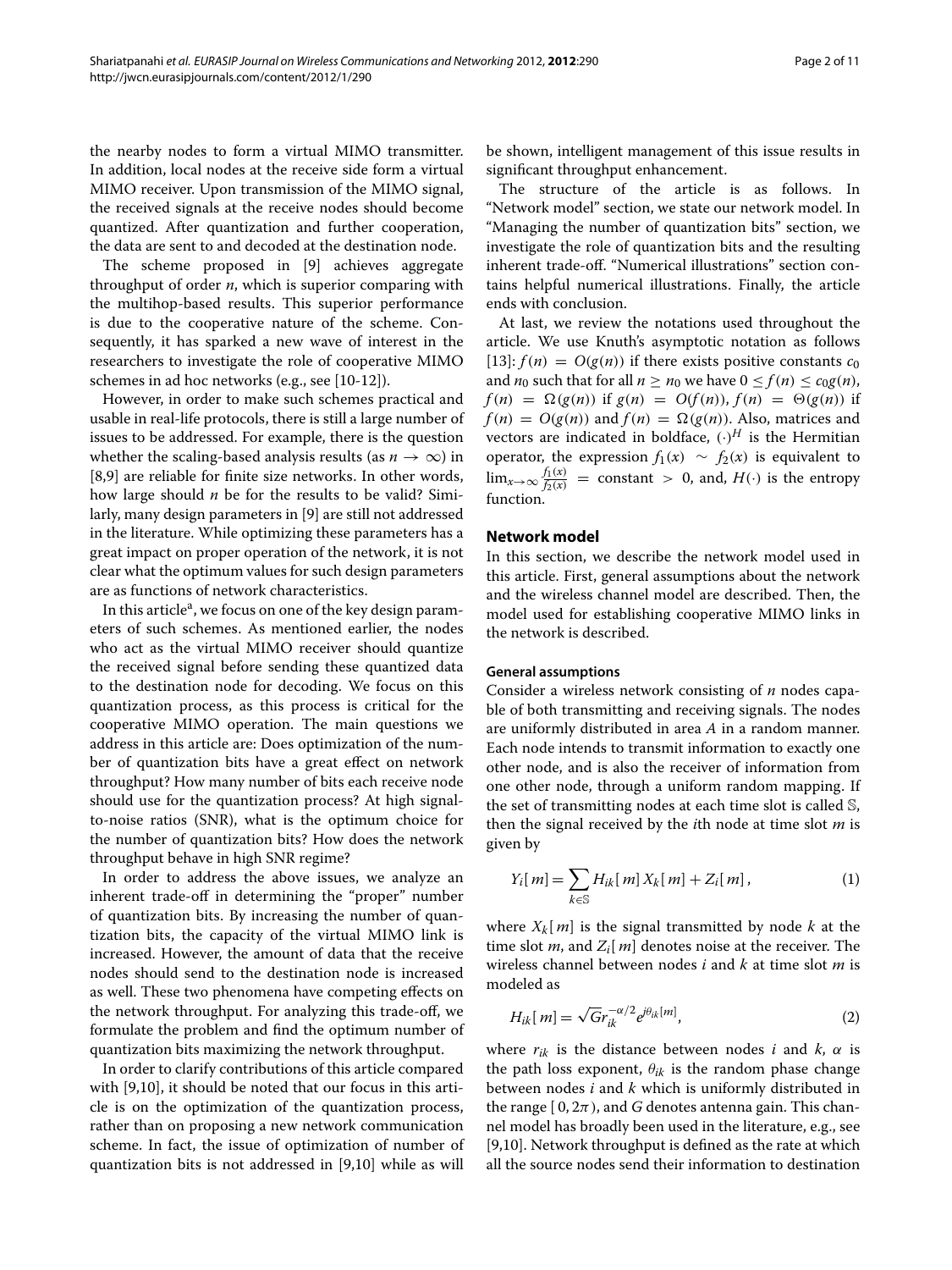the nearby nodes to form a virtual MIMO transmitter. In addition, local nodes at the receive side form a virtual MIMO receiver. Upon transmission of the MIMO signal, the received signals at the receive nodes should become quantized. After quantization and further cooperation, the data are sent to and decoded at the destination node.

The scheme proposed in [\[9\]](#page-10-7) achieves aggregate throughput of order *n*, which is superior comparing with the multihop-based results. This superior performance is due to the cooperative nature of the scheme. Consequently, it has sparked a new wave of interest in the researchers to investigate the role of cooperative MIMO schemes in ad hoc networks (e.g., see [\[10-](#page-10-8)[12\]](#page-10-9)).

However, in order to make such schemes practical and usable in real-life protocols, there is still a large number of issues to be addressed. For example, there is the question whether the scaling-based analysis results (as  $n \to \infty$ ) in [\[8](#page-10-6)[,9\]](#page-10-7) are reliable for finite size networks. In other words, how large should *n* be for the results to be valid? Similarly, many design parameters in [\[9\]](#page-10-7) are still not addressed in the literature. While optimizing these parameters has a great impact on proper operation of the network, it is not clear what the optimum values for such design parameters are as functions of network characteristics.

In this article<sup>a</sup>, we focus on one of the key design parameters of such schemes. As mentioned earlier, the nodes who act as the virtual MIMO receiver should quantize the received signal before sending these quantized data to the destination node for decoding. We focus on this quantization process, as this process is critical for the cooperative MIMO operation. The main questions we address in this article are: Does optimization of the number of quantization bits have a great effect on network throughput? How many number of bits each receive node should use for the quantization process? At high signalto-noise ratios (SNR), what is the optimum choice for the number of quantization bits? How does the network throughput behave in high SNR regime?

In order to address the above issues, we analyze an inherent trade-off in determining the "proper" number of quantization bits. By increasing the number of quantization bits, the capacity of the virtual MIMO link is increased. However, the amount of data that the receive nodes should send to the destination node is increased as well. These two phenomena have competing effects on the network throughput. For analyzing this trade-off, we formulate the problem and find the optimum number of quantization bits maximizing the network throughput.

In order to clarify contributions of this article compared with [\[9](#page-10-7)[,10\]](#page-10-8), it should be noted that our focus in this article is on the optimization of the quantization process, rather than on proposing a new network communication scheme. In fact, the issue of optimization of number of quantization bits is not addressed in [\[9,](#page-10-7)[10\]](#page-10-8) while as will

be shown, intelligent management of this issue results in significant throughput enhancement.

The structure of the article is as follows. In ["Network model"](#page-1-0) section, we state our network model. In ["Managing the number of quantization bits"](#page-3-0) section, we investigate the role of quantization bits and the resulting inherent trade-off. ["Numerical illustrations"](#page-7-0) section contains helpful numerical illustrations. Finally, the article ends with conclusion.

At last, we review the notations used throughout the article. We use Knuth's asymptotic notation as follows [\[13\]](#page-10-10):  $f(n) = O(g(n))$  if there exists positive constants  $c_0$ and  $n_0$  such that for all  $n > n_0$  we have  $0 < f(n) < c_0g(n)$ ,  $f(n) = \Omega(g(n))$  if  $g(n) = O(f(n)), f(n) = \Theta(g(n))$  if  $f(n) = O(g(n))$  and  $f(n) = \Omega(g(n))$ . Also, matrices and vectors are indicated in boldface,  $(\cdot)^H$  is the Hermitian operator, the expression  $f_1(x) \sim f_2(x)$  is equivalent to  $\lim_{x\to\infty} \frac{f_1(x)}{f_2(x)}$  = constant > 0, and,  $H(\cdot)$  is the entropy function.

#### <span id="page-1-0"></span>**Network model**

In this section, we describe the network model used in this article. First, general assumptions about the network and the wireless channel model are described. Then, the model used for establishing cooperative MIMO links in the network is described.

#### **General assumptions**

Consider a wireless network consisting of *n* nodes capable of both transmitting and receiving signals. The nodes are uniformly distributed in area *A* in a random manner. Each node intends to transmit information to exactly one other node, and is also the receiver of information from one other node, through a uniform random mapping. If the set of transmitting nodes at each time slot is called S, then the signal received by the *i*th node at time slot *m* is given by

$$
Y_i[m] = \sum_{k \in \mathbb{S}} H_{ik}[m] X_k[m] + Z_i[m], \qquad (1)
$$

where  $X_k[m]$  is the signal transmitted by node  $k$  at the time slot  $m$ , and  $Z_i[m]$  denotes noise at the receiver. The wireless channel between nodes *i* and *k* at time slot *m* is modeled as

$$
H_{ik}[m] = \sqrt{G}r_{ik}^{-\alpha/2}e^{j\theta_{ik}[m]},
$$
\n(2)

where  $r_{ik}$  is the distance between nodes *i* and *k*,  $\alpha$  is the path loss exponent,  $\theta_{ik}$  is the random phase change between nodes *i* and *k* which is uniformly distributed in the range  $[0, 2\pi)$ , and *G* denotes antenna gain. This channel model has broadly been used in the literature, e.g., see [\[9](#page-10-7)[,10\]](#page-10-8). Network throughput is defined as the rate at which all the source nodes send their information to destination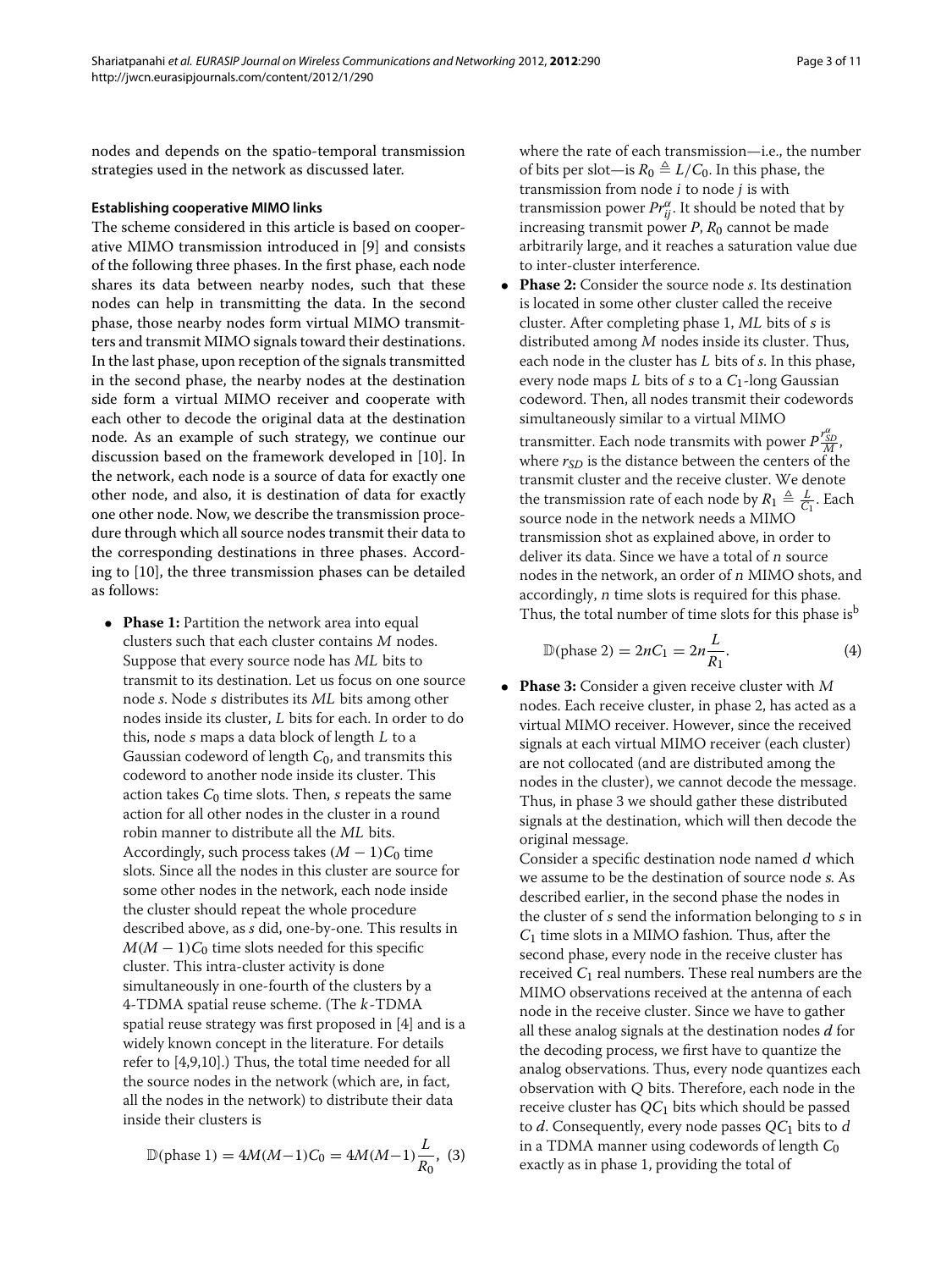nodes and depends on the spatio-temporal transmission strategies used in the network as discussed later.

# **Establishing cooperative MIMO links**

The scheme considered in this article is based on cooperative MIMO transmission introduced in [\[9\]](#page-10-7) and consists of the following three phases. In the first phase, each node shares its data between nearby nodes, such that these nodes can help in transmitting the data. In the second phase, those nearby nodes form virtual MIMO transmitters and transmit MIMO signals toward their destinations. In the last phase, upon reception of the signals transmitted in the second phase, the nearby nodes at the destination side form a virtual MIMO receiver and cooperate with each other to decode the original data at the destination node. As an example of such strategy, we continue our discussion based on the framework developed in [\[10\]](#page-10-8). In the network, each node is a source of data for exactly one other node, and also, it is destination of data for exactly one other node. Now, we describe the transmission procedure through which all source nodes transmit their data to the corresponding destinations in three phases. According to [\[10\]](#page-10-8), the three transmission phases can be detailed as follows:

• **Phase 1:** Partition the network area into equal clusters such that each cluster contains <sup>M</sup> nodes. Suppose that every source node has ML bits to transmit to its destination. Let us focus on one source node *s*. Node <sup>s</sup> distributes its ML bits among other nodes inside its cluster, <sup>L</sup> bits for each. In order to do this, node  $s$  maps a data block of length  $L$  to a Gaussian codeword of length *C*0, and transmits this codeword to another node inside its cluster. This action takes  $C_0$  time slots. Then, s repeats the same action for all other nodes in the cluster in a round robin manner to distribute all the ML bits. Accordingly, such process takes  $(M - 1)C_0$  time slots. Since all the nodes in this cluster are source for some other nodes in the network, each node inside the cluster should repeat the whole procedure described above, as *s* did, one-by-one. This results in  $M(M-1)C_0$  time slots needed for this specific cluster. This intra-cluster activity is done simultaneously in one-fourth of the clusters by a 4-TDMA spatial reuse scheme. (The k-TDMA spatial reuse strategy was first proposed in [\[4\]](#page-10-2) and is a widely known concept in the literature. For details refer to [\[4,](#page-10-2)[9,](#page-10-7)[10\]](#page-10-8).) Thus, the total time needed for all the source nodes in the network (which are, in fact, all the nodes in the network) to distribute their data inside their clusters is

> $\mathbb{D}(\text{phase 1)} = 4M(M-1)C_0 = 4M(M-1)\frac{L}{R}$  $\frac{2}{R_0}$ , (3)

where the rate of each transmission—i.e., the number of bits per slot—is  $R_0 \triangleq L/C_0$ . In this phase, the transmission from node  $i$  to node  $j$  is with transmission power  $Pr_{ij}^{\alpha}$ . It should be noted that by increasing transmit power  $P$ ,  $R_0$  cannot be made arbitrarily large, and it reaches a saturation value due to inter-cluster interference.

• **Phase 2:** Consider the source node *s*. Its destination is located in some other cluster called the receive cluster. After completing phase 1, ML bits of <sup>s</sup> is distributed among <sup>M</sup> nodes inside its cluster. Thus, each node in the cluster has <sup>L</sup> bits of *s*. In this phase, every node maps <sup>L</sup> bits of <sup>s</sup> to a *C*1-long Gaussian codeword. Then, all nodes transmit their codewords simultaneously similar to a virtual MIMO

transmitter. Each node transmits with power  $P \frac{r_{SD}^{\alpha}}{M}$ , where  $r_{SD}$  is the distance between the centers of the transmit cluster and the receive cluster. We denote the transmission rate of each node by  $R_1 \triangleq \frac{L}{C_1}$ . Each source node in the network needs a MIMO transmission shot as explained above, in order to deliver its data. Since we have a total of <sup>n</sup> source nodes in the network, an order of <sup>n</sup> MIMO shots, and accordingly, <sup>n</sup> time slots is required for this phase. Thus, the total number of time slots for this phase is<sup>b</sup>

$$
\mathbb{D}(\text{phase 2}) = 2nC_1 = 2n\frac{L}{R_1}.\tag{4}
$$

• **Phase 3:** Consider a given receive cluster with <sup>M</sup> nodes. Each receive cluster, in phase 2, has acted as a virtual MIMO receiver. However, since the received signals at each virtual MIMO receiver (each cluster) are not collocated (and are distributed among the nodes in the cluster), we cannot decode the message. Thus, in phase 3 we should gather these distributed signals at the destination, which will then decode the original message.

Consider a specific destination node named d which we assume to be the destination of source node <sup>s</sup>. As described earlier, in the second phase the nodes in the cluster of <sup>s</sup> send the information belonging to <sup>s</sup> in *C*<sup>1</sup> time slots in a MIMO fashion. Thus, after the second phase, every node in the receive cluster has received  $C_1$  real numbers. These real numbers are the MIMO observations received at the antenna of each node in the receive cluster. Since we have to gather all these analog signals at the destination nodes *d* for the decoding process, we first have to quantize the analog observations. Thus, every node quantizes each observation with Q bits. Therefore, each node in the receive cluster has *QC*<sup>1</sup> bits which should be passed to *d*. Consequently, every node passes *QC*<sup>1</sup> bits to <sup>d</sup> in a TDMA manner using codewords of length *C*<sup>0</sup> exactly as in phase 1, providing the total of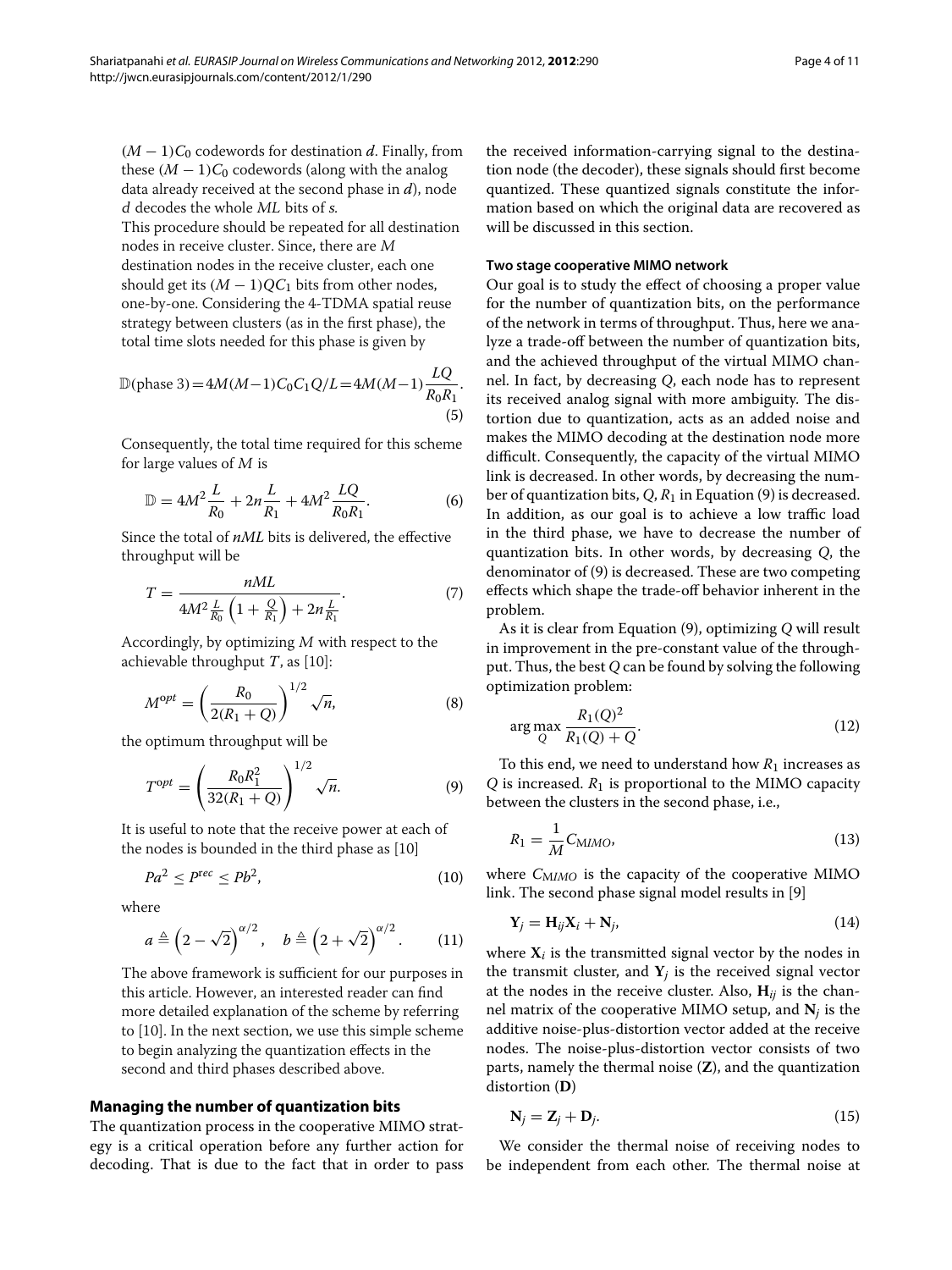$(M-1)C_0$  codewords for destination *d*. Finally, from these  $(M - 1)C_0$  codewords (along with the analog data already received at the second phase in *d*), node d decodes the whole ML bits of <sup>s</sup>.

This procedure should be repeated for all destination nodes in receive cluster. Since, there are <sup>M</sup> destination nodes in the receive cluster, each one should get its  $(M - 1)QC_1$  bits from other nodes, one-by-one. Considering the 4-TDMA spatial reuse strategy between clusters (as in the first phase), the total time slots needed for this phase is given by

$$
\mathbb{D}(\text{phase 3}) = 4M(M-1)C_0C_1Q/L = 4M(M-1)\frac{LQ}{R_0R_1}.
$$
\n(5)

Consequently, the total time required for this scheme for large values of  $M$  is

$$
\mathbb{D} = 4M^2 \frac{L}{R_0} + 2n \frac{L}{R_1} + 4M^2 \frac{LQ}{R_0 R_1}.
$$
 (6)

Since the total of *nML* bits is delivered, the effective throughput will be

$$
T = \frac{nML}{4M^2 \frac{L}{R_0} \left(1 + \frac{Q}{R_1}\right) + 2n \frac{L}{R_1}}.
$$
 (7)

Accordingly, by optimizing <sup>M</sup> with respect to the achievable throughput *T*, as [\[10\]](#page-10-8):

$$
M^{opt} = \left(\frac{R_0}{2(R_1 + Q)}\right)^{1/2} \sqrt{n},\tag{8}
$$

the optimum throughput will be

$$
T^{opt} = \left(\frac{R_0 R_1^2}{32(R_1 + Q)}\right)^{1/2} \sqrt{n}.
$$
 (9)

It is useful to note that the receive power at each of the nodes is bounded in the third phase as [\[10\]](#page-10-8)

$$
Pa^2 \le P^{\text{rec}} \le Pb^2,\tag{10}
$$

where

$$
a \triangleq (2 - \sqrt{2})^{\alpha/2}, \quad b \triangleq (2 + \sqrt{2})^{\alpha/2}. \tag{11}
$$

The above framework is sufficient for our purposes in this article. However, an interested reader can find more detailed explanation of the scheme by referring to [\[10\]](#page-10-8). In the next section, we use this simple scheme to begin analyzing the quantization effects in the second and third phases described above.

# <span id="page-3-0"></span>**Managing the number of quantization bits**

The quantization process in the cooperative MIMO strategy is a critical operation before any further action for decoding. That is due to the fact that in order to pass the received information-carrying signal to the destination node (the decoder), these signals should first become quantized. These quantized signals constitute the information based on which the original data are recovered as will be discussed in this section.

# **Two stage cooperative MIMO network**

Our goal is to study the effect of choosing a proper value for the number of quantization bits, on the performance of the network in terms of throughput. Thus, here we analyze a trade-off between the number of quantization bits, and the achieved throughput of the virtual MIMO channel. In fact, by decreasing *Q*, each node has to represent its received analog signal with more ambiguity. The distortion due to quantization, acts as an added noise and makes the MIMO decoding at the destination node more difficult. Consequently, the capacity of the virtual MIMO link is decreased. In other words, by decreasing the number of quantization bits, *Q*, *R*<sup>1</sup> in Equation [\(9\)](#page-3-1) is decreased. In addition, as our goal is to achieve a low traffic load in the third phase, we have to decrease the number of quantization bits. In other words, by decreasing *Q*, the denominator of [\(9\)](#page-3-1) is decreased. These are two competing effects which shape the trade-off behavior inherent in the problem.

As it is clear from Equation [\(9\)](#page-3-1), optimizing *Q* will result in improvement in the pre-constant value of the throughput. Thus, the best *Q* can be found by solving the following optimization problem:

<span id="page-3-3"></span>
$$
\arg\max_{Q} \frac{R_1(Q)^2}{R_1(Q) + Q}.\tag{12}
$$

<span id="page-3-1"></span>To this end, we need to understand how  $R_1$  increases as *Q* is increased. *R*<sup>1</sup> is proportional to the MIMO capacity between the clusters in the second phase, i.e.,

$$
R_1 = \frac{1}{M} C_{\text{MIMO}},\tag{13}
$$

<span id="page-3-4"></span>where  $C_{\text{MIMO}}$  is the capacity of the cooperative MIMO link. The second phase signal model results in [\[9\]](#page-10-7)

<span id="page-3-2"></span>
$$
\mathbf{Y}_{j} = \mathbf{H}_{ij}\mathbf{X}_{i} + \mathbf{N}_{j},\tag{14}
$$

where  $X_i$  is the transmitted signal vector by the nodes in the transmit cluster, and  $Y_i$  is the received signal vector at the nodes in the receive cluster. Also,  $H_{ii}$  is the channel matrix of the cooperative MIMO setup, and **N***<sup>j</sup>* is the additive noise-plus-distortion vector added at the receive nodes. The noise-plus-distortion vector consists of two parts, namely the thermal noise (**Z**), and the quantization distortion (**D**)

<span id="page-3-5"></span>
$$
N_j = Z_j + D_j. \tag{15}
$$

We consider the thermal noise of receiving nodes to be independent from each other. The thermal noise at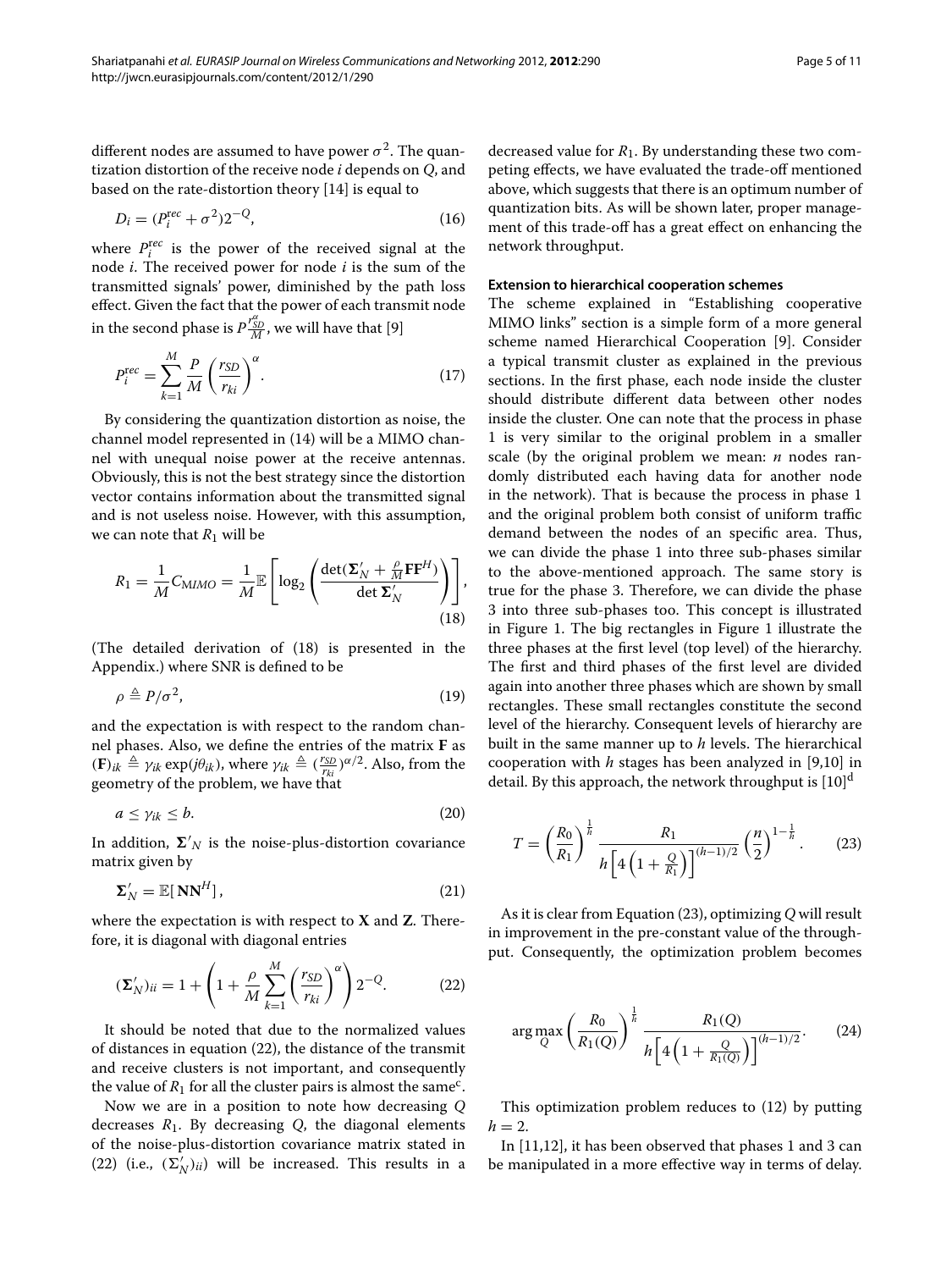different nodes are assumed to have power  $\sigma^2$ . The quantization distortion of the receive node *i* depends on *Q*, and based on the rate-distortion theory [\[14\]](#page-10-11) is equal to

$$
D_i = (P_i^{rec} + \sigma^2)2^{-Q},
$$
\n(16)

where  $P_i^{\text{rec}}$  is the power of the received signal at the node *i*. The received power for node *i* is the sum of the transmitted signals' power, diminished by the path loss effect. Given the fact that the power of each transmit node in the second phase is  $P^{\frac{r_{SD}^{\omega}}{M}}$ , we will have that [\[9\]](#page-10-7)

$$
P_i^{rec} = \sum_{k=1}^{M} \frac{P}{M} \left(\frac{r_{SD}}{r_{ki}}\right)^{\alpha}.
$$
 (17)

By considering the quantization distortion as noise, the channel model represented in [\(14\)](#page-3-2) will be a MIMO channel with unequal noise power at the receive antennas. Obviously, this is not the best strategy since the distortion vector contains information about the transmitted signal and is not useless noise. However, with this assumption, we can note that  $R_1$  will be

<span id="page-4-0"></span>
$$
R_1 = \frac{1}{M} C_{MIMO} = \frac{1}{M} \mathbb{E} \left[ \log_2 \left( \frac{\det(\mathbf{\Sigma}_N' + \frac{\rho}{M} \mathbf{F} \mathbf{F}^H)}{\det \mathbf{\Sigma}_N'} \right) \right],
$$
\n(18)

(The detailed derivation of [\(18\)](#page-4-0) is presented in the Appendix.) where SNR is defined to be

$$
\rho \triangleq P/\sigma^2,\tag{19}
$$

and the expectation is with respect to the random channel phases. Also, we define the entries of the matrix **F** as  $(F)_{ik} \triangleq \gamma_{ik} \exp(j\theta_{ik})$ , where  $\gamma_{ik} \triangleq (\frac{r_{SD}}{r_{ki}})^{\alpha/2}$ . Also, from the geometry of the problem, we have that

$$
a \leq \gamma_{ik} \leq b. \tag{20}
$$

In addition,  $\mathbf{\Sigma'}_N$  is the noise-plus-distortion covariance matrix given by

$$
\Sigma'_N = \mathbb{E}[\mathbf{N}\mathbf{N}^H],\tag{21}
$$

where the expectation is with respect to **X** and **Z**. Therefore, it is diagonal with diagonal entries

$$
(\mathbf{\Sigma}_{N}^{\prime})_{ii} = 1 + \left(1 + \frac{\rho}{M} \sum_{k=1}^{M} \left(\frac{r_{SD}}{r_{ki}}\right)^{\alpha}\right) 2^{-Q}.\tag{22}
$$

It should be noted that due to the normalized values of distances in equation [\(22\)](#page-4-1), the distance of the transmit and receive clusters is not important, and consequently the value of  $R_1$  for all the cluster pairs is almost the same<sup>c</sup>.

Now we are in a position to note how decreasing *Q* decreases *R*1. By decreasing *Q*, the diagonal elements of the noise-plus-distortion covariance matrix stated in [\(22\)](#page-4-1) (i.e.,  $(\Sigma'_N)_{ii}$ ) will be increased. This results in a decreased value for  $R_1$ . By understanding these two competing effects, we have evaluated the trade-off mentioned above, which suggests that there is an optimum number of quantization bits. As will be shown later, proper management of this trade-off has a great effect on enhancing the network throughput.

# **Extension to hierarchical cooperation schemes**

The scheme explained in "Establishing cooperative MIMO links" section is a simple form of a more general scheme named Hierarchical Cooperation [\[9\]](#page-10-7). Consider a typical transmit cluster as explained in the previous sections. In the first phase, each node inside the cluster should distribute different data between other nodes inside the cluster. One can note that the process in phase 1 is very similar to the original problem in a smaller scale (by the original problem we mean: *n* nodes randomly distributed each having data for another node in the network). That is because the process in phase 1 and the original problem both consist of uniform traffic demand between the nodes of an specific area. Thus, we can divide the phase 1 into three sub-phases similar to the above-mentioned approach. The same story is true for the phase 3. Therefore, we can divide the phase 3 into three sub-phases too. This concept is illustrated in Figure [1.](#page-5-0) The big rectangles in Figure [1](#page-5-0) illustrate the three phases at the first level (top level) of the hierarchy. The first and third phases of the first level are divided again into another three phases which are shown by small rectangles. These small rectangles constitute the second level of the hierarchy. Consequent levels of hierarchy are built in the same manner up to *h* levels. The hierarchical cooperation with *h* stages has been analyzed in [\[9,](#page-10-7)[10\]](#page-10-8) in detail. By this approach, the network throughput is  $[10]$ <sup>d</sup>

<span id="page-4-4"></span><span id="page-4-2"></span>
$$
T = \left(\frac{R_0}{R_1}\right)^{\frac{1}{h}} \frac{R_1}{h \left[4\left(1 + \frac{Q}{R_1}\right)\right]^{(h-1)/2}} \left(\frac{n}{2}\right)^{1 - \frac{1}{h}}.
$$
 (23)

<span id="page-4-1"></span>As it is clear from Equation [\(23\)](#page-4-2), optimizing *Q* will result in improvement in the pre-constant value of the throughput. Consequently, the optimization problem becomes

<span id="page-4-3"></span>
$$
\arg \max_{Q} \left( \frac{R_0}{R_1(Q)} \right)^{\frac{1}{h}} \frac{R_1(Q)}{h \left[ 4 \left( 1 + \frac{Q}{R_1(Q)} \right) \right]^{(h-1)/2}}.
$$
 (24)

This optimization problem reduces to [\(12\)](#page-3-3) by putting  $h = 2$ .

In [\[11](#page-10-12)[,12\]](#page-10-9), it has been observed that phases 1 and 3 can be manipulated in a more effective way in terms of delay.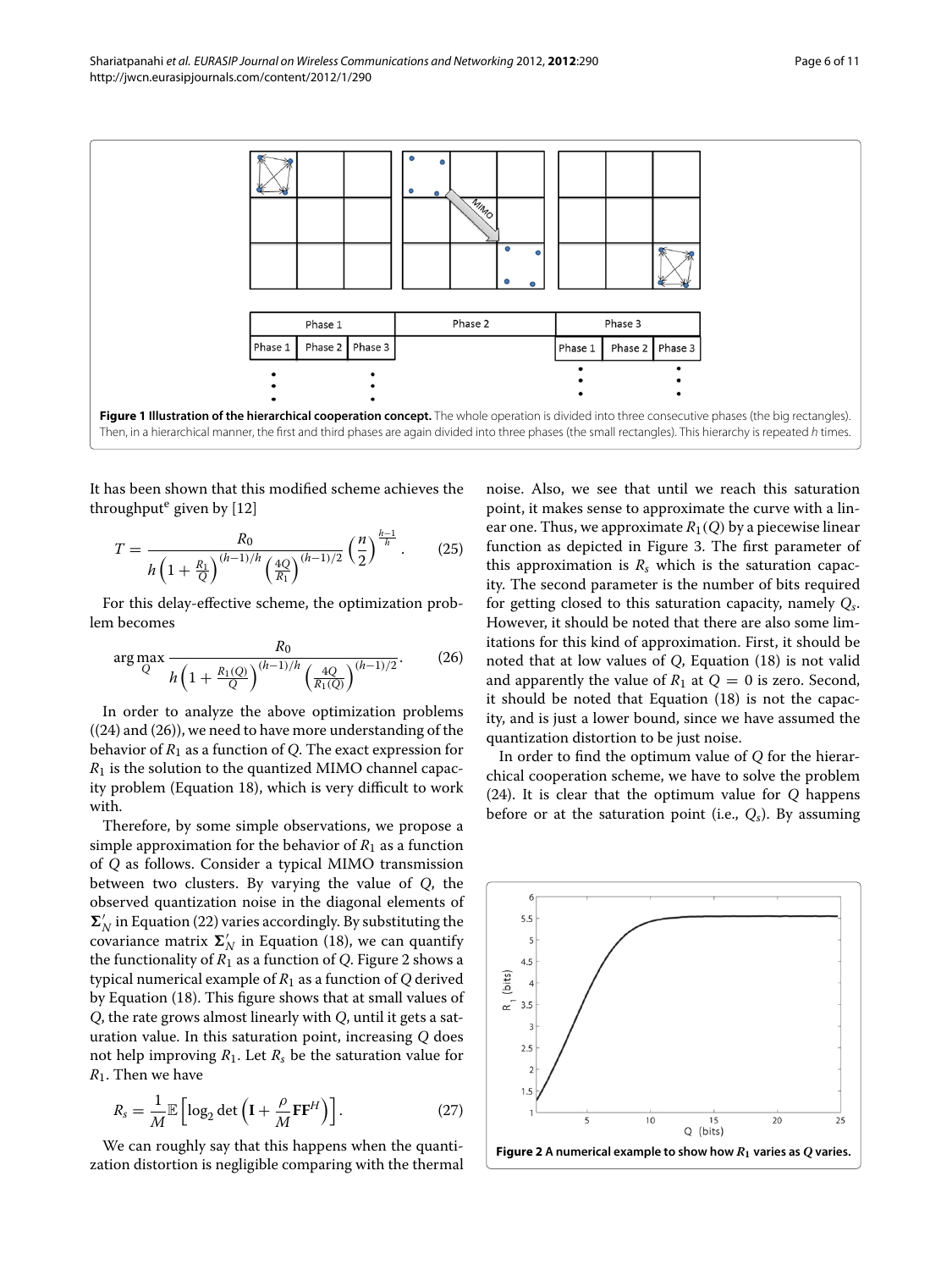

<span id="page-5-0"></span>It has been shown that this modified scheme achieves the throughput<sup>e</sup> given by  $[12]$ 

<span id="page-5-3"></span>
$$
T = \frac{R_0}{h \left(1 + \frac{R_1}{Q}\right)^{(h-1)/h} \left(\frac{4Q}{R_1}\right)^{(h-1)/2}} \left(\frac{n}{2}\right)^{\frac{h-1}{h}}.
$$
 (25)

For this delay-effective scheme, the optimization problem becomes

<span id="page-5-1"></span>
$$
\arg \max_{Q} \frac{R_0}{h \left(1 + \frac{R_1(Q)}{Q}\right)^{(h-1)/h} \left(\frac{4Q}{R_1(Q)}\right)^{(h-1)/2}}.
$$
 (26)

In order to analyze the above optimization problems  $((24)$  $((24)$  and  $(26)$ , we need to have more understanding of the behavior of *R*<sup>1</sup> as a function of *Q*. The exact expression for  $R_1$  is the solution to the quantized MIMO channel capacity problem (Equation [18\)](#page-4-0), which is very difficult to work with.

Therefore, by some simple observations, we propose a simple approximation for the behavior of  $R_1$  as a function of *Q* as follows. Consider a typical MIMO transmission between two clusters. By varying the value of *Q*, the observed quantization noise in the diagonal elements of  $\mathbf{\Sigma}_N^\prime$  in Equation [\(22\)](#page-4-1) varies accordingly. By substituting the covariance matrix  $\Sigma'_N$  in Equation [\(18\)](#page-4-0), we can quantify the functionality of  $R_1$  as a function of Q. Figure [2](#page-5-2) shows a typical numerical example of *R*<sup>1</sup> as a function of *Q* derived by Equation [\(18\)](#page-4-0). This figure shows that at small values of *Q*, the rate grows almost linearly with *Q*, until it gets a saturation value. In this saturation point, increasing *Q* does not help improving *R*1. Let *Rs* be the saturation value for *R*1. Then we have

$$
R_s = \frac{1}{M} \mathbb{E} \left[ \log_2 \det \left( \mathbf{I} + \frac{\rho}{M} \mathbf{F} \mathbf{F}^H \right) \right]. \tag{27}
$$

We can roughly say that this happens when the quantization distortion is negligible comparing with the thermal noise. Also, we see that until we reach this saturation point, it makes sense to approximate the curve with a linear one. Thus, we approximate  $R_1(Q)$  by a piecewise linear function as depicted in Figure [3.](#page-6-0) The first parameter of this approximation is  $R_s$  which is the saturation capacity. The second parameter is the number of bits required for getting closed to this saturation capacity, namely *Qs*. However, it should be noted that there are also some limitations for this kind of approximation. First, it should be noted that at low values of *Q*, Equation [\(18\)](#page-4-0) is not valid and apparently the value of  $R_1$  at  $Q = 0$  is zero. Second, it should be noted that Equation [\(18\)](#page-4-0) is not the capacity, and is just a lower bound, since we have assumed the quantization distortion to be just noise.

In order to find the optimum value of *Q* for the hierarchical cooperation scheme, we have to solve the problem [\(24\)](#page-4-3). It is clear that the optimum value for *Q* happens before or at the saturation point (i.e.,  $Q_s$ ). By assuming

<span id="page-5-2"></span>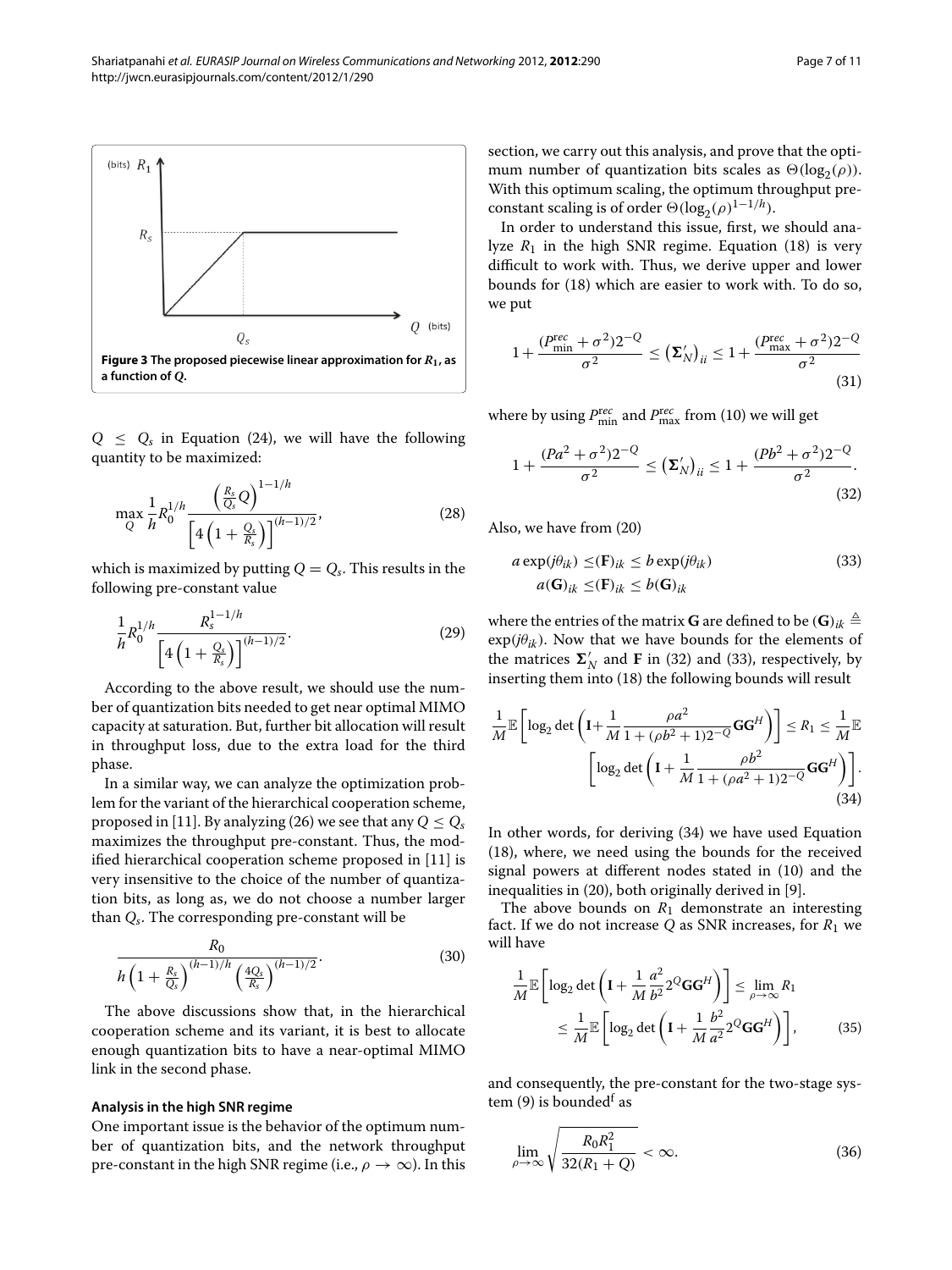

<span id="page-6-0"></span> $Q \leq Q_s$  in Equation [\(24\)](#page-4-3), we will have the following quantity to be maximized:

$$
\max_{Q} \frac{1}{h} R_0^{1/h} \frac{\left(\frac{R_s}{Q_s} Q\right)^{1-1/h}}{\left[4\left(1 + \frac{Q_s}{R_s}\right)\right]^{(h-1)/2}},\tag{28}
$$

which is maximized by putting  $Q = Q_s$ . This results in the following pre-constant value

$$
\frac{1}{h}R_0^{1/h} \frac{R_s^{1-1/h}}{\left[4\left(1+\frac{Q_s}{R_s}\right)\right]^{(h-1)/2}}.
$$
\n(29)

According to the above result, we should use the number of quantization bits needed to get near optimal MIMO capacity at saturation. But, further bit allocation will result in throughput loss, due to the extra load for the third phase.

In a similar way, we can analyze the optimization problem for the variant of the hierarchical cooperation scheme, proposed in [\[11\]](#page-10-12). By analyzing [\(26\)](#page-5-1) we see that any  $Q \leq Q_s$ maximizes the throughput pre-constant. Thus, the modified hierarchical cooperation scheme proposed in [\[11\]](#page-10-12) is very insensitive to the choice of the number of quantization bits, as long as, we do not choose a number larger than *Qs*. The corresponding pre-constant will be

$$
\frac{R_0}{h\left(1+\frac{R_s}{Q_s}\right)^{(h-1)/h}\left(\frac{4Q_s}{R_s}\right)^{(h-1)/2}}.
$$
\n(30)

The above discussions show that, in the hierarchical cooperation scheme and its variant, it is best to allocate enough quantization bits to have a near-optimal MIMO link in the second phase.

#### **Analysis in the high SNR regime**

One important issue is the behavior of the optimum number of quantization bits, and the network throughput pre-constant in the high SNR regime (i.e.,  $\rho \rightarrow \infty$ ). In this section, we carry out this analysis, and prove that the optimum number of quantization bits scales as  $\Theta(\log_2(\rho))$ . With this optimum scaling, the optimum throughput preconstant scaling is of order  $\Theta(\log_2(\rho)^{1-1/h})$ .

In order to understand this issue, first, we should analyze  $R_1$  in the high SNR regime. Equation [\(18\)](#page-4-0) is very difficult to work with. Thus, we derive upper and lower bounds for [\(18\)](#page-4-0) which are easier to work with. To do so, we put

$$
1 + \frac{(P_{\min}^{rec} + \sigma^2)2^{-Q}}{\sigma^2} \le (\Sigma'_N)_{ii} \le 1 + \frac{(P_{\max}^{rec} + \sigma^2)2^{-Q}}{\sigma^2}
$$
(31)

where by using  $P_{\min}^{rec}$  and  $P_{\max}^{rec}$  from [\(10\)](#page-3-4) we will get

<span id="page-6-1"></span>
$$
1 + \frac{(Pa^2 + \sigma^2)2^{-Q}}{\sigma^2} \le (\Sigma'_N)_{ii} \le 1 + \frac{(Pb^2 + \sigma^2)2^{-Q}}{\sigma^2}.
$$
\n(32)

Also, we have from [\(20\)](#page-4-4)

<span id="page-6-3"></span><span id="page-6-2"></span>
$$
a \exp(j\theta_{ik}) \leq (\mathbf{F})_{ik} \leq b \exp(j\theta_{ik})
$$
  
 
$$
a(\mathbf{G})_{ik} \leq (\mathbf{F})_{ik} \leq b(\mathbf{G})_{ik}
$$
 (33)

where the entries of the matrix **G** are defined to be  $(\mathbf{G})_{ik} \triangleq$  $\exp(j\theta_{ik})$ . Now that we have bounds for the elements of the matrices  $\Sigma'_N$  and **F** in [\(32\)](#page-6-1) and [\(33\)](#page-6-2), respectively, by inserting them into [\(18\)](#page-4-0) the following bounds will result

$$
\frac{1}{M} \mathbb{E}\left[\log_2 \det\left(\mathbf{I} + \frac{1}{M} \frac{\rho a^2}{1 + (\rho b^2 + 1)2^{-Q}} \mathbf{G} \mathbf{G}^H\right)\right] \le R_1 \le \frac{1}{M} \mathbb{E}\left[\log_2 \det\left(\mathbf{I} + \frac{1}{M} \frac{\rho b^2}{1 + (\rho a^2 + 1)2^{-Q}} \mathbf{G} \mathbf{G}^H\right)\right].
$$
\n(34)

In other words, for deriving [\(34\)](#page-6-3) we have used Equation [\(18\)](#page-4-0), where, we need using the bounds for the received signal powers at different nodes stated in [\(10\)](#page-3-4) and the inequalities in [\(20\)](#page-4-4), both originally derived in [\[9\]](#page-10-7).

The above bounds on  $R_1$  demonstrate an interesting fact. If we do not increase *Q* as SNR increases, for *R*<sup>1</sup> we will have

$$
\frac{1}{M} \mathbb{E} \left[ \log_2 \det \left( \mathbf{I} + \frac{1}{M} \frac{a^2}{b^2} 2^Q \mathbf{G} \mathbf{G}^H \right) \right] \le \lim_{\rho \to \infty} R_1
$$
\n
$$
\le \frac{1}{M} \mathbb{E} \left[ \log_2 \det \left( \mathbf{I} + \frac{1}{M} \frac{b^2}{a^2} 2^Q \mathbf{G} \mathbf{G}^H \right) \right],
$$
\n(35)

and consequently, the pre-constant for the two-stage system  $(9)$  is bounded<sup>f</sup> as

$$
\lim_{\rho \to \infty} \sqrt{\frac{R_0 R_1^2}{32(R_1 + Q)}} < \infty. \tag{36}
$$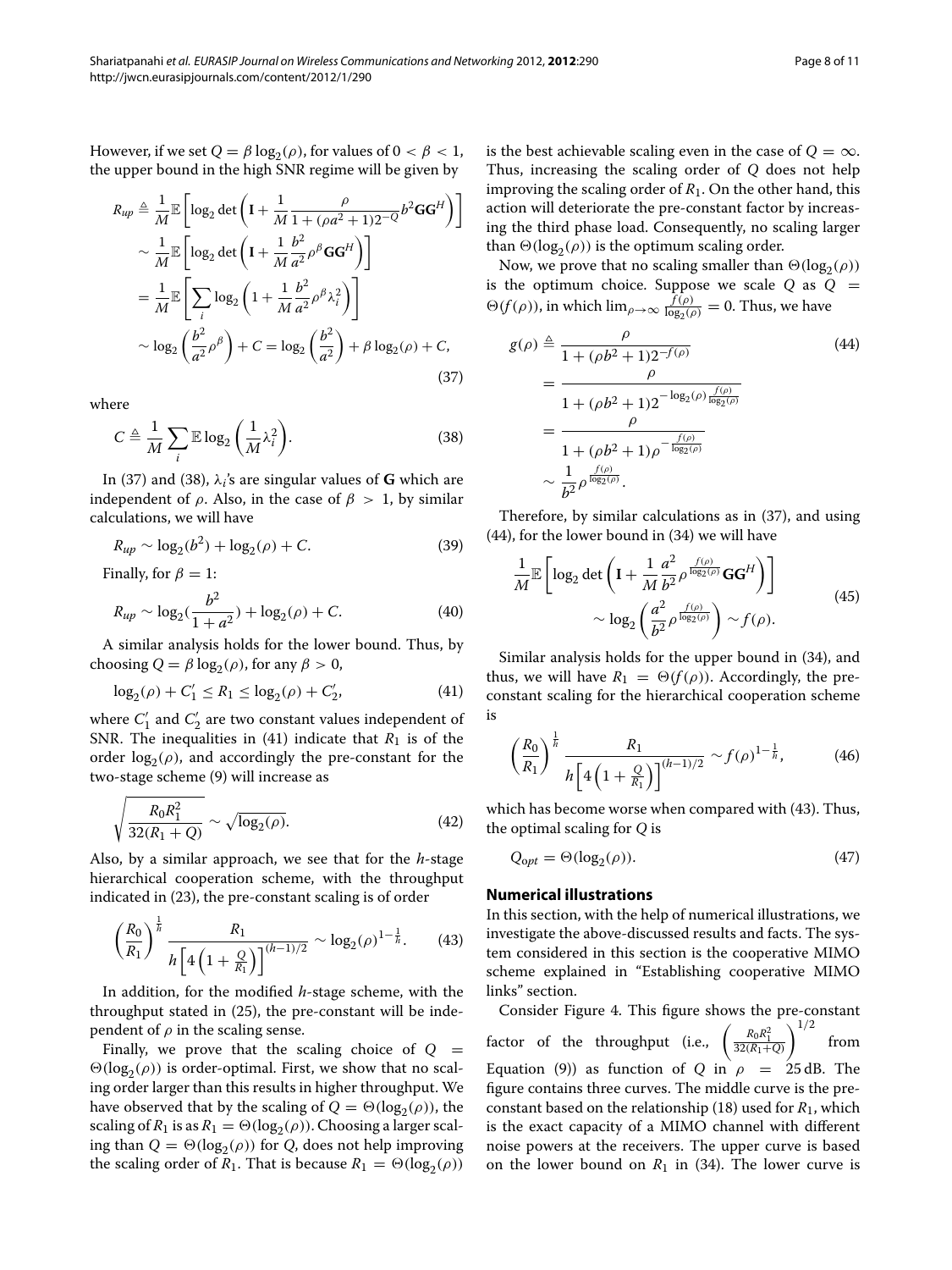However, if we set  $Q = \beta \log_2(\rho)$ , for values of  $0 < \beta < 1$ , the upper bound in the high SNR regime will be given by

$$
R_{up} \triangleq \frac{1}{M} \mathbb{E} \left[ \log_2 \det \left( \mathbf{I} + \frac{1}{M} \frac{\rho}{1 + (\rho a^2 + 1)2^{-Q}} b^2 \mathbf{G} \mathbf{G}^H \right) \right]
$$
  

$$
\sim \frac{1}{M} \mathbb{E} \left[ \log_2 \det \left( \mathbf{I} + \frac{1}{M} \frac{b^2}{a^2} \rho^\beta \mathbf{G} \mathbf{G}^H \right) \right]
$$
  

$$
= \frac{1}{M} \mathbb{E} \left[ \sum_i \log_2 \left( 1 + \frac{1}{M} \frac{b^2}{a^2} \rho^\beta \lambda_i^2 \right) \right]
$$
  

$$
\sim \log_2 \left( \frac{b^2}{a^2} \rho^\beta \right) + C = \log_2 \left( \frac{b^2}{a^2} \right) + \beta \log_2(\rho) + C,
$$
 (37)

where

<span id="page-7-2"></span>
$$
C \triangleq \frac{1}{M} \sum_{i} \mathbb{E} \log_2 \left( \frac{1}{M} \lambda_i^2 \right). \tag{38}
$$

In [\(37\)](#page-7-1) and [\(38\)](#page-7-2),  $\lambda_i$ 's are singular values of **G** which are independent of  $\rho$ . Also, in the case of  $\beta > 1$ , by similar calculations, we will have

$$
R_{up} \sim \log_2(b^2) + \log_2(\rho) + C.
$$
 (39)

Finally, for  $\beta = 1$ :

$$
R_{up} \sim \log_2(\frac{b^2}{1+a^2}) + \log_2(\rho) + C.
$$
 (40)

A similar analysis holds for the lower bound. Thus, by choosing  $Q = \beta \log_2(\rho)$ , for any  $\beta > 0$ ,

$$
\log_2(\rho) + C_1' \le R_1 \le \log_2(\rho) + C_2',\tag{41}
$$

where  $C_1'$  and  $C_2'$  are two constant values independent of SNR. The inequalities in  $(41)$  indicate that  $R_1$  is of the order  $log_2(\rho)$ , and accordingly the pre-constant for the two-stage scheme [\(9\)](#page-3-1) will increase as

$$
\sqrt{\frac{R_0 R_1^2}{32(R_1 + Q)}} \sim \sqrt{\log_2(\rho)}.
$$
\n(42)

Also, by a similar approach, we see that for the *h*-stage hierarchical cooperation scheme, with the throughput indicated in [\(23\)](#page-4-2), the pre-constant scaling is of order

$$
\left(\frac{R_0}{R_1}\right)^{\frac{1}{h}} \frac{R_1}{h \left[4\left(1+\frac{Q}{R_1}\right)\right]^{(h-1)/2}} \sim \log_2(\rho)^{1-\frac{1}{h}}.\tag{43}
$$

In addition, for the modified *h*-stage scheme, with the throughput stated in [\(25\)](#page-5-3), the pre-constant will be independent of  $\rho$  in the scaling sense.

Finally, we prove that the scaling choice of  $Q =$  $\Theta(\log_2(\rho))$  is order-optimal. First, we show that no scaling order larger than this results in higher throughput. We have observed that by the scaling of  $Q = \Theta(\log_2(\rho))$ , the scaling of  $R_1$  is as  $R_1 = \Theta(\log_2(\rho))$ . Choosing a larger scaling than  $Q = \Theta(\log_2(\rho))$  for *Q*, does not help improving the scaling order of  $R_1$ . That is because  $R_1 = \Theta(\log_2(\rho))$  <span id="page-7-1"></span>is the best achievable scaling even in the case of  $Q = \infty$ . Thus, increasing the scaling order of *Q* does not help improving the scaling order of *R*1. On the other hand, this action will deteriorate the pre-constant factor by increasing the third phase load. Consequently, no scaling larger than  $\Theta(\log_2(\rho))$  is the optimum scaling order.

Now, we prove that no scaling smaller than  $\Theta(\log_2(\rho))$ is the optimum choice. Suppose we scale  $Q$  as  $Q =$  $\Theta(f(\rho))$ , in which  $\lim_{\rho \to \infty} \frac{f(\rho)}{\log_2(\rho)} = 0$ . Thus, we have

<span id="page-7-4"></span>
$$
g(\rho) \triangleq \frac{\rho}{1 + (\rho b^2 + 1)2^{-f(\rho)}}
$$
\n
$$
= \frac{\rho}{1 + (\rho b^2 + 1)2^{-\log_2(\rho)\frac{f(\rho)}{\log_2(\rho)}}}
$$
\n
$$
= \frac{\rho}{1 + (\rho b^2 + 1)\rho^{-\frac{f(\rho)}{\log_2(\rho)}}}
$$
\n
$$
\sim \frac{1}{b^2} \rho^{\frac{f(\rho)}{\log_2(\rho)}}.
$$
\n(44)

Therefore, by similar calculations as in [\(37\)](#page-7-1), and using [\(44\)](#page-7-4), for the lower bound in [\(34\)](#page-6-3) we will have

$$
\frac{1}{M} \mathbb{E}\left[\log_2 \det\left(\mathbf{I} + \frac{1}{M} \frac{a^2}{b^2} \rho^{\frac{f(\rho)}{\log_2(\rho)}} \mathbf{G} \mathbf{G}^H\right)\right] \sim \log_2 \left(\frac{a^2}{b^2} \rho^{\frac{f(\rho)}{\log_2(\rho)}}\right) \sim f(\rho).
$$
\n(45)

<span id="page-7-3"></span>Similar analysis holds for the upper bound in [\(34\)](#page-6-3), and thus, we will have  $R_1 = \Theta(f(\rho))$ . Accordingly, the preconstant scaling for the hierarchical cooperation scheme is

$$
\left(\frac{R_0}{R_1}\right)^{\frac{1}{h}} \frac{R_1}{h \left[4\left(1 + \frac{Q}{R_1}\right)\right]^{(h-1)/2}} \sim f(\rho)^{1 - \frac{1}{h}},\tag{46}
$$

which has become worse when compared with [\(43\)](#page-7-5). Thus, the optimal scaling for *Q* is

$$
Q_{opt} = \Theta(\log_2(\rho)).\tag{47}
$$

# <span id="page-7-5"></span><span id="page-7-0"></span>**Numerical illustrations**

In this section, with the help of numerical illustrations, we investigate the above-discussed results and facts. The system considered in this section is the cooperative MIMO scheme explained in "Establishing cooperative MIMO links" section.

Consider Figure [4.](#page-8-0) This figure shows the pre-constant factor of the throughput (i.e.,  $\left(\frac{R_0 R_1^2}{32(R_1+Q)}\right)$  $\sqrt{1/2}$ from Equation [\(9\)](#page-3-1)) as function of *Q* in  $\rho$  = 25 dB. The figure contains three curves. The middle curve is the preconstant based on the relationship [\(18\)](#page-4-0) used for *R*1, which is the exact capacity of a MIMO channel with different noise powers at the receivers. The upper curve is based on the lower bound on  $R_1$  in [\(34\)](#page-6-3). The lower curve is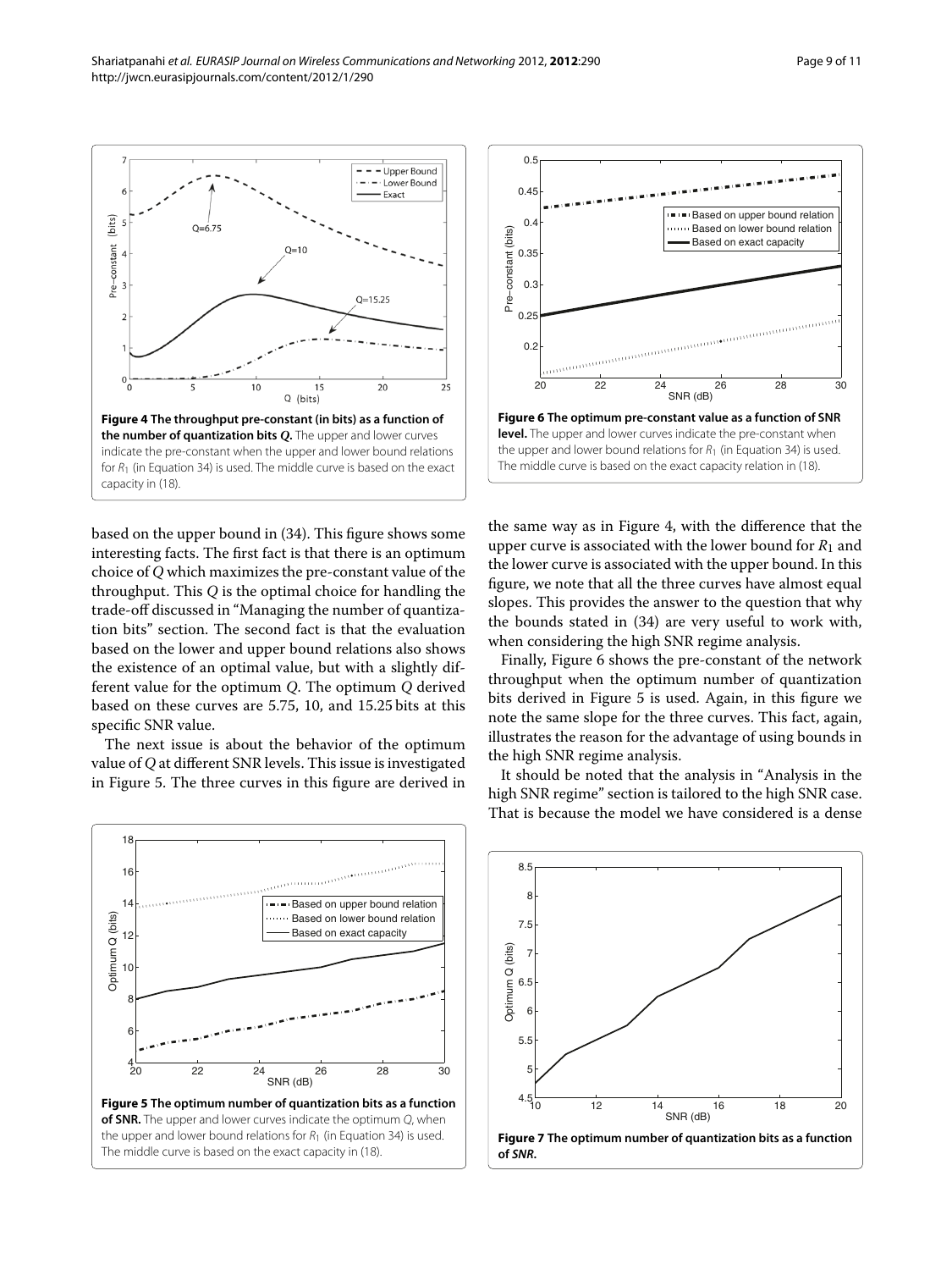

<span id="page-8-0"></span>based on the upper bound in [\(34\)](#page-6-3). This figure shows some interesting facts. The first fact is that there is an optimum choice of *Q* which maximizes the pre-constant value of the throughput. This *Q* is the optimal choice for handling the trade-off discussed in "Managing the number of quantization bits" section. The second fact is that the evaluation based on the lower and upper bound relations also shows the existence of an optimal value, but with a slightly different value for the optimum *Q*. The optimum *Q* derived based on these curves are 5.75, 10, and 15.25 bits at this specific SNR value.

The next issue is about the behavior of the optimum value of *Q* at different SNR levels. This issue is investigated in Figure [5.](#page-8-1) The three curves in this figure are derived in

<span id="page-8-1"></span>



<span id="page-8-2"></span>the same way as in Figure [4,](#page-8-0) with the difference that the upper curve is associated with the lower bound for *R*<sup>1</sup> and the lower curve is associated with the upper bound. In this figure, we note that all the three curves have almost equal slopes. This provides the answer to the question that why the bounds stated in [\(34\)](#page-6-3) are very useful to work with, when considering the high SNR regime analysis.

Finally, Figure [6](#page-8-2) shows the pre-constant of the network throughput when the optimum number of quantization bits derived in Figure [5](#page-8-1) is used. Again, in this figure we note the same slope for the three curves. This fact, again, illustrates the reason for the advantage of using bounds in the high SNR regime analysis.

It should be noted that the analysis in "Analysis in the high SNR regime" section is tailored to the high SNR case. That is because the model we have considered is a dense

<span id="page-8-3"></span>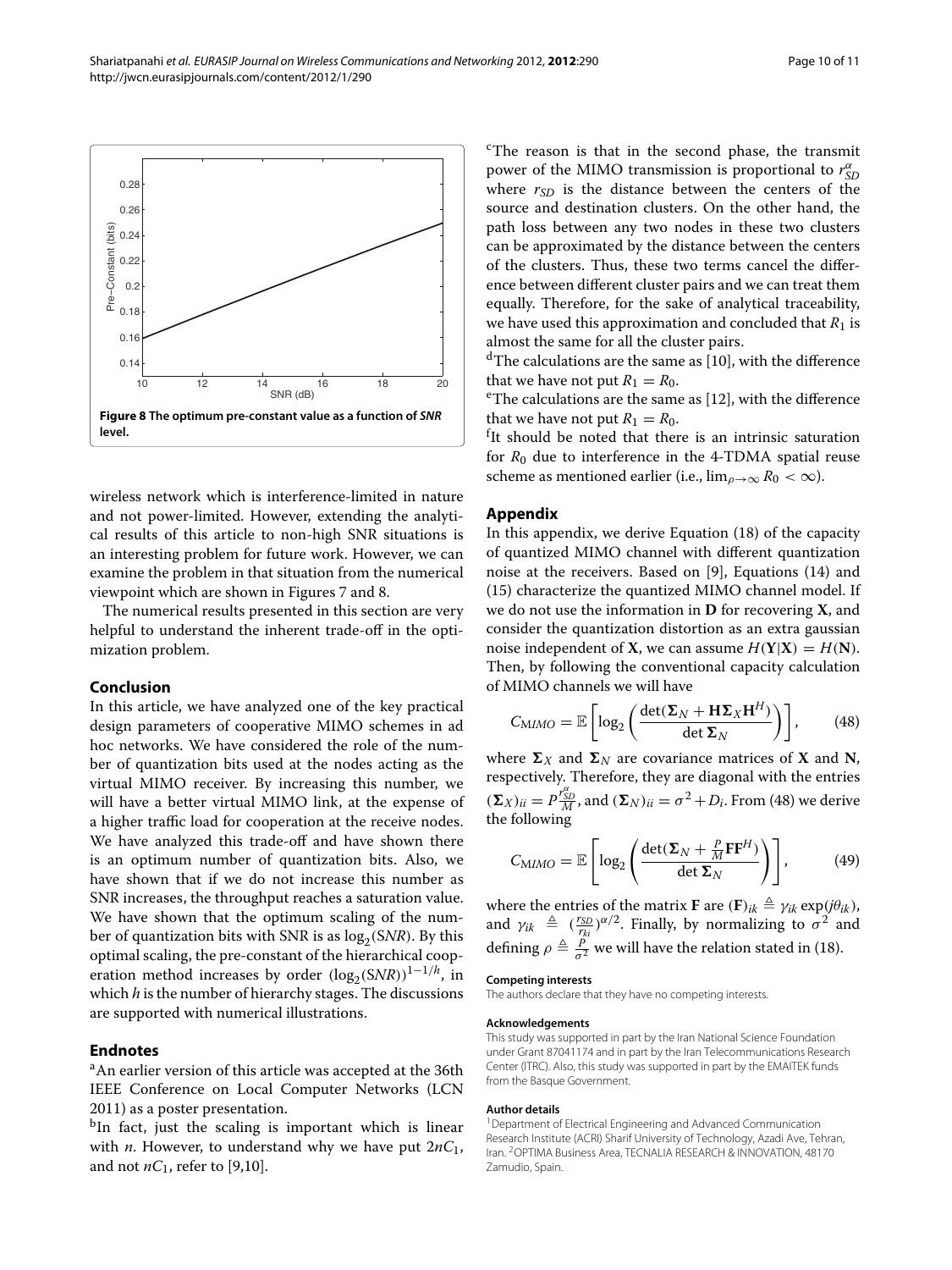

<span id="page-9-0"></span>wireless network which is interference-limited in nature and not power-limited. However, extending the analytical results of this article to non-high SNR situations is an interesting problem for future work. However, we can examine the problem in that situation from the numerical viewpoint which are shown in Figures [7](#page-8-3) and [8.](#page-9-0)

The numerical results presented in this section are very helpful to understand the inherent trade-off in the optimization problem.

# **Conclusion**

In this article, we have analyzed one of the key practical design parameters of cooperative MIMO schemes in ad hoc networks. We have considered the role of the number of quantization bits used at the nodes acting as the virtual MIMO receiver. By increasing this number, we will have a better virtual MIMO link, at the expense of a higher traffic load for cooperation at the receive nodes. We have analyzed this trade-off and have shown there is an optimum number of quantization bits. Also, we have shown that if we do not increase this number as SNR increases, the throughput reaches a saturation value. We have shown that the optimum scaling of the number of quantization bits with SNR is as  $log_2(SNR)$ . By this optimal scaling, the pre-constant of the hierarchical cooperation method increases by order  $(\log_2(SNR))^{1-1/h}$ , in which *h* is the number of hierarchy stages. The discussions are supported with numerical illustrations.

# **Endnotes**

<sup>a</sup>An earlier version of this article was accepted at the 36th IEEE Conference on Local Computer Networks (LCN 2011) as a poster presentation.

<sup>b</sup>In fact, just the scaling is important which is linear with *n*. However, to understand why we have put 2*nC*1, and not  $nC_1$ , refer to [\[9](#page-10-7)[,10\]](#page-10-8).

<sup>c</sup>The reason is that in the second phase, the transmit power of the MIMO transmission is proportional to *r<sup>α</sup> SD* where  $r_{SD}$  is the distance between the centers of the source and destination clusters. On the other hand, the path loss between any two nodes in these two clusters can be approximated by the distance between the centers of the clusters. Thus, these two terms cancel the difference between different cluster pairs and we can treat them equally. Therefore, for the sake of analytical traceability, we have used this approximation and concluded that  $R_1$  is almost the same for all the cluster pairs.

 $d$ The calculations are the same as [\[10\]](#page-10-8), with the difference that we have not put *R*<sub>1</sub> = *R*<sub>0</sub>.<br><sup>e</sup>The calculations are the same as [\[12\]](#page-10-9), with the difference

that we have not put  $R_1 = R_0$ .

<sup>f</sup>It should be noted that there is an intrinsic saturation for  $R_0$  due to interference in the 4-TDMA spatial reuse scheme as mentioned earlier (i.e.,  $\lim_{\rho \to \infty} R_0 < \infty$ ).

#### **Appendix**

In this appendix, we derive Equation [\(18\)](#page-4-0) of the capacity of quantized MIMO channel with different quantization noise at the receivers. Based on [\[9\]](#page-10-7), Equations [\(14\)](#page-3-2) and [\(15\)](#page-3-5) characterize the quantized MIMO channel model. If we do not use the information in **D** for recovering **X**, and consider the quantization distortion as an extra gaussian noise independent of **X**, we can assume  $H(Y|X) = H(N)$ . Then, by following the conventional capacity calculation of MIMO channels we will have

<span id="page-9-1"></span>
$$
C_{\text{MIMO}} = \mathbb{E}\left[\log_2\left(\frac{\det(\mathbf{\Sigma}_N + \mathbf{H}\mathbf{\Sigma}_X\mathbf{H}^H)}{\det \mathbf{\Sigma}_N}\right)\right],\qquad(48)
$$

where  $\mathbf{\Sigma}_X$  and  $\mathbf{\Sigma}_N$  are covariance matrices of **X** and **N**, respectively. Therefore, they are diagonal with the entries  $(\Sigma_X)_{ii} = P \frac{r_{SD}^{\alpha}}{M}$ , and  $(\Sigma_N)_{ii} = \sigma^2 + D_i$ . From [\(48\)](#page-9-1) we derive the following

$$
C_{\text{MIMO}} = \mathbb{E}\left[\log_2\left(\frac{\det(\mathbf{\Sigma}_N + \frac{P}{M}\mathbf{F}\mathbf{F}^H)}{\det \mathbf{\Sigma}_N}\right)\right],\tag{49}
$$

where the entries of the matrix **F** are  $(\mathbf{F})_{ik} \triangleq \gamma_{ik} \exp(j\theta_{ik}),$ and  $\gamma_{ik} \triangleq \left(\frac{r_{SD}}{r_{ki}}\right)^{\alpha/2}$ . Finally, by normalizing to  $\sigma^2$  and defining  $\rho \triangleq \frac{P}{\sigma^2}$  we will have the relation stated in [\(18\)](#page-4-0).

#### **Competing interests**

The authors declare that they have no competing interests.

#### **Acknowledgements**

This study was supported in part by the Iran National Science Foundation under Grant 87041174 and in part by the Iran Telecommunications Research Center (ITRC). Also, this study was supported in part by the EMAITEK funds from the Basque Government.

#### **Author details**

<sup>1</sup> Department of Electrical Engineering and Advanced Communication Research Institute (ACRI) Sharif University of Technology, Azadi Ave, Tehran, Iran. 2OPTIMA Business Area, TECNALIA RESEARCH & INNOVATION, 48170 Zamudio, Spain.